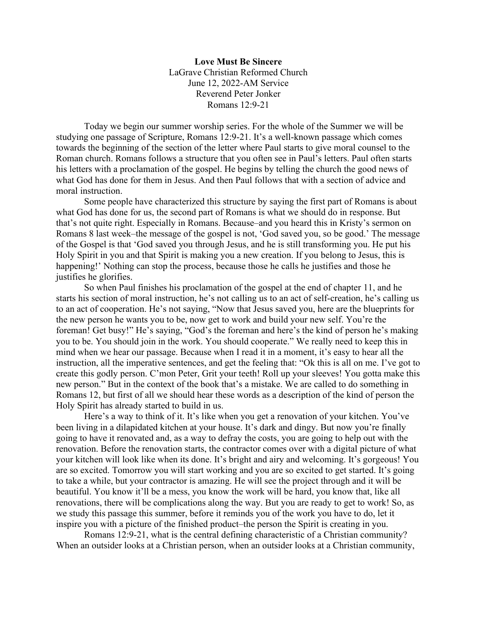**Love Must Be Sincere** LaGrave Christian Reformed Church June 12, 2022-AM Service Reverend Peter Jonker Romans 12:9-21

Today we begin our summer worship series. For the whole of the Summer we will be studying one passage of Scripture, Romans 12:9-21. It's a well-known passage which comes towards the beginning of the section of the letter where Paul starts to give moral counsel to the Roman church. Romans follows a structure that you often see in Paul's letters. Paul often starts his letters with a proclamation of the gospel. He begins by telling the church the good news of what God has done for them in Jesus. And then Paul follows that with a section of advice and moral instruction.

Some people have characterized this structure by saying the first part of Romans is about what God has done for us, the second part of Romans is what we should do in response. But that's not quite right. Especially in Romans. Because–and you heard this in Kristy's sermon on Romans 8 last week–the message of the gospel is not, 'God saved you, so be good.' The message of the Gospel is that 'God saved you through Jesus, and he is still transforming you. He put his Holy Spirit in you and that Spirit is making you a new creation. If you belong to Jesus, this is happening!' Nothing can stop the process, because those he calls he justifies and those he justifies he glorifies.

So when Paul finishes his proclamation of the gospel at the end of chapter 11, and he starts his section of moral instruction, he's not calling us to an act of self-creation, he's calling us to an act of cooperation. He's not saying, "Now that Jesus saved you, here are the blueprints for the new person he wants you to be, now get to work and build your new self. You're the foreman! Get busy!" He's saying, "God's the foreman and here's the kind of person he's making you to be. You should join in the work. You should cooperate." We really need to keep this in mind when we hear our passage. Because when I read it in a moment, it's easy to hear all the instruction, all the imperative sentences, and get the feeling that: "Ok this is all on me. I've got to create this godly person. C'mon Peter, Grit your teeth! Roll up your sleeves! You gotta make this new person." But in the context of the book that's a mistake. We are called to do something in Romans 12, but first of all we should hear these words as a description of the kind of person the Holy Spirit has already started to build in us.

Here's a way to think of it. It's like when you get a renovation of your kitchen. You've been living in a dilapidated kitchen at your house. It's dark and dingy. But now you're finally going to have it renovated and, as a way to defray the costs, you are going to help out with the renovation. Before the renovation starts, the contractor comes over with a digital picture of what your kitchen will look like when its done. It's bright and airy and welcoming. It's gorgeous! You are so excited. Tomorrow you will start working and you are so excited to get started. It's going to take a while, but your contractor is amazing. He will see the project through and it will be beautiful. You know it'll be a mess, you know the work will be hard, you know that, like all renovations, there will be complications along the way. But you are ready to get to work! So, as we study this passage this summer, before it reminds you of the work you have to do, let it inspire you with a picture of the finished product–the person the Spirit is creating in you.

Romans 12:9-21, what is the central defining characteristic of a Christian community? When an outsider looks at a Christian person, when an outsider looks at a Christian community,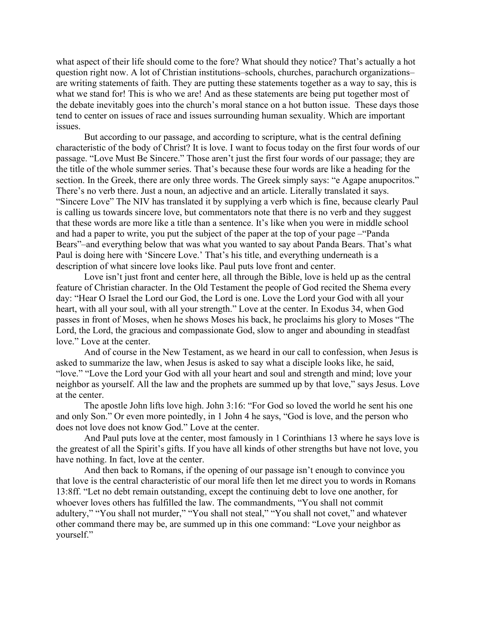what aspect of their life should come to the fore? What should they notice? That's actually a hot question right now. A lot of Christian institutions–schools, churches, parachurch organizations– are writing statements of faith. They are putting these statements together as a way to say, this is what we stand for! This is who we are! And as these statements are being put together most of the debate inevitably goes into the church's moral stance on a hot button issue. These days those tend to center on issues of race and issues surrounding human sexuality. Which are important issues.

But according to our passage, and according to scripture, what is the central defining characteristic of the body of Christ? It is love. I want to focus today on the first four words of our passage. "Love Must Be Sincere." Those aren't just the first four words of our passage; they are the title of the whole summer series. That's because these four words are like a heading for the section. In the Greek, there are only three words. The Greek simply says: "e Agape anupocritos." There's no verb there. Just a noun, an adjective and an article. Literally translated it says. "Sincere Love" The NIV has translated it by supplying a verb which is fine, because clearly Paul is calling us towards sincere love, but commentators note that there is no verb and they suggest that these words are more like a title than a sentence. It's like when you were in middle school and had a paper to write, you put the subject of the paper at the top of your page –"Panda Bears"–and everything below that was what you wanted to say about Panda Bears. That's what Paul is doing here with 'Sincere Love.' That's his title, and everything underneath is a description of what sincere love looks like. Paul puts love front and center.

Love isn't just front and center here, all through the Bible, love is held up as the central feature of Christian character. In the Old Testament the people of God recited the Shema every day: "Hear O Israel the Lord our God, the Lord is one. Love the Lord your God with all your heart, with all your soul, with all your strength." Love at the center. In Exodus 34, when God passes in front of Moses, when he shows Moses his back, he proclaims his glory to Moses "The Lord, the Lord, the gracious and compassionate God, slow to anger and abounding in steadfast love." Love at the center.

And of course in the New Testament, as we heard in our call to confession, when Jesus is asked to summarize the law, when Jesus is asked to say what a disciple looks like, he said, "love." "Love the Lord your God with all your heart and soul and strength and mind; love your neighbor as yourself. All the law and the prophets are summed up by that love," says Jesus. Love at the center.

The apostle John lifts love high. John 3:16: "For God so loved the world he sent his one and only Son." Or even more pointedly, in 1 John 4 he says, "God is love, and the person who does not love does not know God." Love at the center.

And Paul puts love at the center, most famously in 1 Corinthians 13 where he says love is the greatest of all the Spirit's gifts. If you have all kinds of other strengths but have not love, you have nothing. In fact, love at the center.

And then back to Romans, if the opening of our passage isn't enough to convince you that love is the central characteristic of our moral life then let me direct you to words in Romans 13:8ff. "Let no debt remain outstanding, except the continuing debt to love one another, for whoever loves others has fulfilled the law. The commandments, "You shall not commit adultery," "You shall not murder," "You shall not steal," "You shall not covet," and whatever other command there may be, are summed up in this one command: "Love your neighbor as yourself."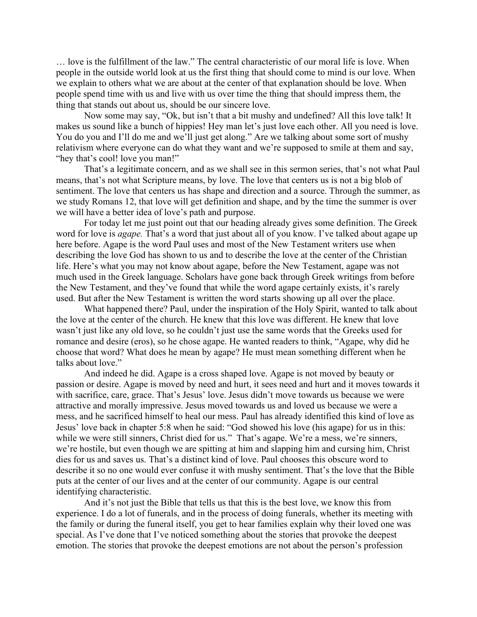… love is the fulfillment of the law." The central characteristic of our moral life is love. When people in the outside world look at us the first thing that should come to mind is our love. When we explain to others what we are about at the center of that explanation should be love. When people spend time with us and live with us over time the thing that should impress them, the thing that stands out about us, should be our sincere love.

Now some may say, "Ok, but isn't that a bit mushy and undefined? All this love talk! It makes us sound like a bunch of hippies! Hey man let's just love each other. All you need is love. You do you and I'll do me and we'll just get along." Are we talking about some sort of mushy relativism where everyone can do what they want and we're supposed to smile at them and say, "hey that's cool! love you man!"

That's a legitimate concern, and as we shall see in this sermon series, that's not what Paul means, that's not what Scripture means, by love. The love that centers us is not a big blob of sentiment. The love that centers us has shape and direction and a source. Through the summer, as we study Romans 12, that love will get definition and shape, and by the time the summer is over we will have a better idea of love's path and purpose.

For today let me just point out that our heading already gives some definition. The Greek word for love is *agape.* That's a word that just about all of you know. I've talked about agape up here before. Agape is the word Paul uses and most of the New Testament writers use when describing the love God has shown to us and to describe the love at the center of the Christian life. Here's what you may not know about agape, before the New Testament, agape was not much used in the Greek language. Scholars have gone back through Greek writings from before the New Testament, and they've found that while the word agape certainly exists, it's rarely used. But after the New Testament is written the word starts showing up all over the place.

What happened there? Paul, under the inspiration of the Holy Spirit, wanted to talk about the love at the center of the church. He knew that this love was different. He knew that love wasn't just like any old love, so he couldn't just use the same words that the Greeks used for romance and desire (eros), so he chose agape. He wanted readers to think, "Agape, why did he choose that word? What does he mean by agape? He must mean something different when he talks about love."

And indeed he did. Agape is a cross shaped love. Agape is not moved by beauty or passion or desire. Agape is moved by need and hurt, it sees need and hurt and it moves towards it with sacrifice, care, grace. That's Jesus' love. Jesus didn't move towards us because we were attractive and morally impressive. Jesus moved towards us and loved us because we were a mess, and he sacrificed himself to heal our mess. Paul has already identified this kind of love as Jesus' love back in chapter 5:8 when he said: "God showed his love (his agape) for us in this: while we were still sinners, Christ died for us." That's agape. We're a mess, we're sinners, we're hostile, but even though we are spitting at him and slapping him and cursing him, Christ dies for us and saves us. That's a distinct kind of love. Paul chooses this obscure word to describe it so no one would ever confuse it with mushy sentiment. That's the love that the Bible puts at the center of our lives and at the center of our community. Agape is our central identifying characteristic.

And it's not just the Bible that tells us that this is the best love, we know this from experience. I do a lot of funerals, and in the process of doing funerals, whether its meeting with the family or during the funeral itself, you get to hear families explain why their loved one was special. As I've done that I've noticed something about the stories that provoke the deepest emotion. The stories that provoke the deepest emotions are not about the person's profession